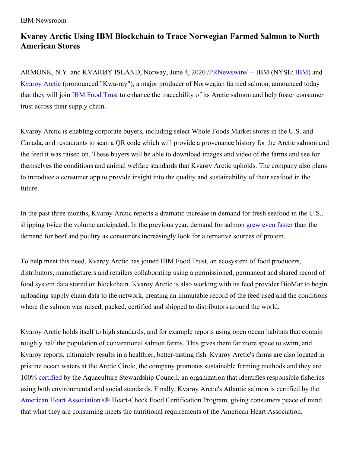## IBM Newsroom

## **Kvarøy Arctic Using IBM Blockchain to Trace Norwegian Farmed Salmon to North American Stores**

ARMONK, N.Y. and KVARØY ISLAND, Norway, June 4, 2020 [/PRNewswire](http://www.prnewswire.com/)/ -- [IBM](https://c212.net/c/link/?t=0&l=en&o=2821264-1&h=3762420780&u=https%3A%2F%2Fwww.ibm.com%2Finvestor%2F&a=IBM) (NYSE: IBM) and [Kvarøy](https://c212.net/c/link/?t=0&l=en&o=2821264-1&h=2754674819&u=https%3A%2F%2Fwww.kvaroyarctic.com%2F&a=Kvar%C3%B8y+Arctic) Arctic (pronounced "Kwa-ray"), a major producer of Norwegian farmed salmon, announced today that they will join IBM Food [Trust](https://c212.net/c/link/?t=0&l=en&o=2821264-1&h=3907781876&u=https%3A%2F%2Fwww.ibm.com%2Fblockchain%2Fsolutions%2Ffood-trust&a=IBM+Food+Trust) to enhance the traceability of its Arctic salmon and help foster consumer trust across their supply chain.

Kvarøy Arctic is enabling corporate buyers, including select Whole Foods Market stores in the U.S. and Canada, and restaurants to scan a QR code which will provide a provenance history for the Arctic salmon and the feed it was raised on. These buyers will be able to download images and video of the farms and see for themselves the conditions and animal welfare standards that Kvarøy Arctic upholds. The company also plans to introduce a consumer app to provide insight into the quality and sustainability of their seafood in the future.

In the past three months, Kvarøy Arctic reports a dramatic increase in demand for fresh seafood in the U.S., shipping twice the volume anticipated. In the previous year, demand for salmon grew even [faster](https://c212.net/c/link/?t=0&l=en&o=2821264-1&h=2674788199&u=https%3A%2F%2Fsalmonbusiness.com%2Frabobank-salmon-is-winning-the-battle-of-the-proteins%2F&a=grew+even+faster) than the demand for beef and poultry as consumers increasingly look for alternative sources of protein.

To help meet this need, Kvarøy Arctic has joined IBM Food Trust, an ecosystem of food producers, distributors, manufacturers and retailers collaborating using a permissioned, permanent and shared record of food system data stored on blockchain. Kvarøy Arctic is also working with its feed provider BioMar to begin uploading supply chain data to the network, creating an immutable record of the feed used and the conditions where the salmon was raised, packed, certified and shipped to distributors around the world.

Kvarøy Arctic holds itself to high standards, and for example reports using open ocean habitats that contain roughly half the population of conventional salmon farms. This gives them far more space to swim, and Kvarøy reports, ultimately results in a healthier, better-tasting fish. Kvarøy Arctic's farms are also located in pristine ocean waters at the Arctic Circle, the company promotes sustainable farming methods and they are 100% [certified](https://c212.net/c/link/?t=0&l=en&o=2821264-1&h=1658638044&u=https%3A%2F%2Fwww.asc-aqua.org%2Fabout-us%2Fabout-the-asc%2F&a=certified) by the Aquaculture Stewardship Council, an organization that identifies responsible fisheries using both environmental and social standards. Finally, Kvarøy Arctic's Atlantic salmon is certified by the American Heart [Association's®](https://c212.net/c/link/?t=0&l=en&o=2821264-1&h=1557094318&u=https%3A%2F%2Fwww.heart.org%2Fen%2Fhealthy-living%2Fcompany-collaboration%2Fheart-check-certification&a=American+Heart+Association%27s%C2%AE) Heart-Check Food Certification Program, giving consumers peace of mind that what they are consuming meets the nutritional requirements of the American Heart Association.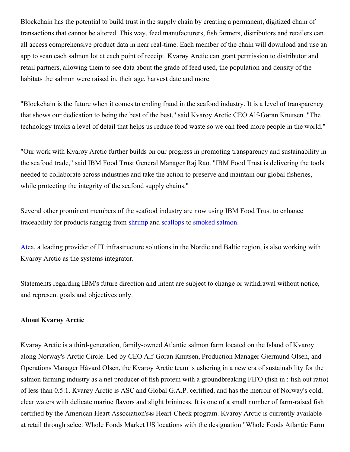Blockchain has the potential to build trust in the supply chain by creating a permanent, digitized chain of transactions that cannot be altered. This way, feed manufacturers, fish farmers, distributors and retailers can all access comprehensive product data in near real-time. Each member of the chain will download and use an app to scan each salmon lot at each point of receipt. Kvarøy Arctic can grant permission to distributor and retail partners, allowing them to see data about the grade of feed used, the population and density of the habitats the salmon were raised in, their age, harvest date and more.

"Blockchain is the future when it comes to ending fraud in the seafood industry. It is a level of transparency that shows our dedication to being the best of the best," said Kvarøy Arctic CEO Alf-Gøran Knutsen. "The technology tracks a level of detail that helps us reduce food waste so we can feed more people in the world."

"Our work with Kvarøy Arctic further builds on our progress in promoting transparency and sustainability in the seafood trade," said IBM Food Trust General Manager Raj Rao. "IBM Food Trust is delivering the tools needed to collaborate across industries and take the action to preserve and maintain our global fisheries, while protecting the integrity of the seafood supply chains."

Several other prominent members of the seafood industry are now using IBM Food Trust to enhance traceability for products ranging from [shrimp](https://c212.net/c/link/?t=0&l=en&o=2821264-1&h=3031055449&u=https%3A%2F%2Fwww.ibm.com%2Fblogs%2Findustries%2Fsustainable-shrimp-ecuador-blockchain-foodtrust%2F&a=shrimp) and [scallops](https://c212.net/c/link/?t=0&l=en&o=2821264-1&h=3846274117&u=https%3A%2F%2Fnewsroom.ibm.com%2F2019-10-17-IBM-Raw-Seafoods-Collaborate-to-Use-Blockchain-to-Help-Improve-Seafood-Traceability-and-Sustainability-While-Addressing-Fraud&a=scallops) to [smoked](https://c212.net/c/link/?t=0&l=en&o=2821264-1&h=2855070111&u=https%3A%2F%2Fwww.ledgerinsights.com%2Fibm-food-trust-blockchain-food-provenance-labeyrie-gruppo-grigi%2F&a=smoked+salmon) salmon.

[At](https://c212.net/c/link/?t=0&l=en&o=2821264-1&h=3959892940&u=https%3A%2F%2Fwww.atea.com%2F&a=At)ea, a leading provider of IT infrastructure solutions in the Nordic and Baltic region, is also working with Kvarøy Arctic as the systems integrator.

Statements regarding IBM's future direction and intent are subject to change or withdrawal without notice, and represent goals and objectives only.

## **About Kvarøy Arctic**

Kvarøy Arctic is a third-generation, family-owned Atlantic salmon farm located on the Island of Kvarøy along Norway's Arctic Circle. Led by CEO Alf-Gøran Knutsen, Production Manager Gjermund Olsen, and Operations Manager Håvard Olsen, the Kvarøy Arctic team is ushering in a new era of sustainability for the salmon farming industry as a net producer of fish protein with a groundbreaking FIFO (fish in : fish out ratio) of less than 0.5:1. Kvarøy Arctic is ASC and Global G.A.P. certified, and has the merroir of Norway's cold, clear waters with delicate marine flavors and slight brininess. It is one of a small number of farm-raised fish certified by the American Heart Association's® Heart-Check program. Kvarøy Arctic is currently available at retail through select Whole Foods Market US locations with the designation "Whole Foods Atlantic Farm